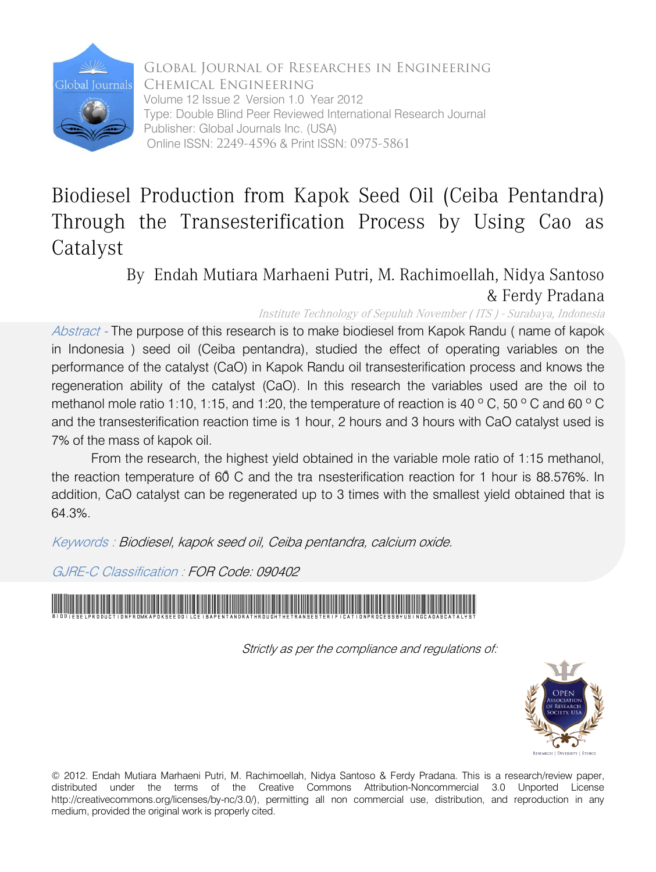

Global Journal of Researches in Engineering Chemical Engineering Volume 12 Issue 2 Version 1.0 Year 2012 Type: Double Blind Peer Reviewed International Research Journal Publisher: Global Journals Inc. (USA) Online ISSN: 2249-4596 & Print ISSN: 0975-5861

# Biodiesel Production from Kapok Seed Oil (Ceiba Pentandra) Through the Transesterification Process by Using Cao as Catalyst

By Endah Mutiara Marhaeni Putri, M. Rachimoellah, Nidya Santoso & Ferdy Pradana

Institute Technology of Sepuluh November ( ITS ) - Surabaya, Indonesia

Abstract - The purpose of this research is to make biodiesel from Kapok Randu (name of kapok in Indonesia ) seed oil (Ceiba pentandra), studied the effect of operating variables on the performance of the catalyst (CaO) in Kapok Randu oil transesterification process and knows the regeneration ability of the catalyst (CaO). In this research the variables used are the oil to methanol mole ratio 1:10, 1:15, and 1:20, the temperature of reaction is 40 °C, 50 °C and 60 °C and the transesterification reaction time is 1 hour, 2 hours and 3 hours with CaO catalyst used is 7% of the mass of kapok oil.

From the research, the highest yield obtained in the variable mole ratio of 1:15 methanol, the reaction temperature of 60˚ C and the tra nsesterification reaction for 1 hour is 88.576%. In addition, CaO catalyst can be regenerated up to 3 times with the smallest yield obtained that is 64.3%.

Keywords : Biodiesel, kapok seed oil, Ceiba pentandra, calcium oxide.

GJRE-C Classification : FOR Code: 090402

BiodieselProductionfromKapokSeedOilCeibaPentandraThroughtheTransesterificationProcessbyUsingCaoasCatalyst

Strictly as per the compliance and regulations of:



© 2012. Endah Mutiara Marhaeni Putri, M. Rachimoellah, Nidya Santoso & Ferdy Pradana. This is a research/review paper, distributed under the terms of the Creative Commons Attribution-Noncommercial 3.0 Unported License http://creativecommons.org/licenses/by-nc/3.0/), permitting all non commercial use, distribution, and reproduction in any medium, provided the original work is properly cited.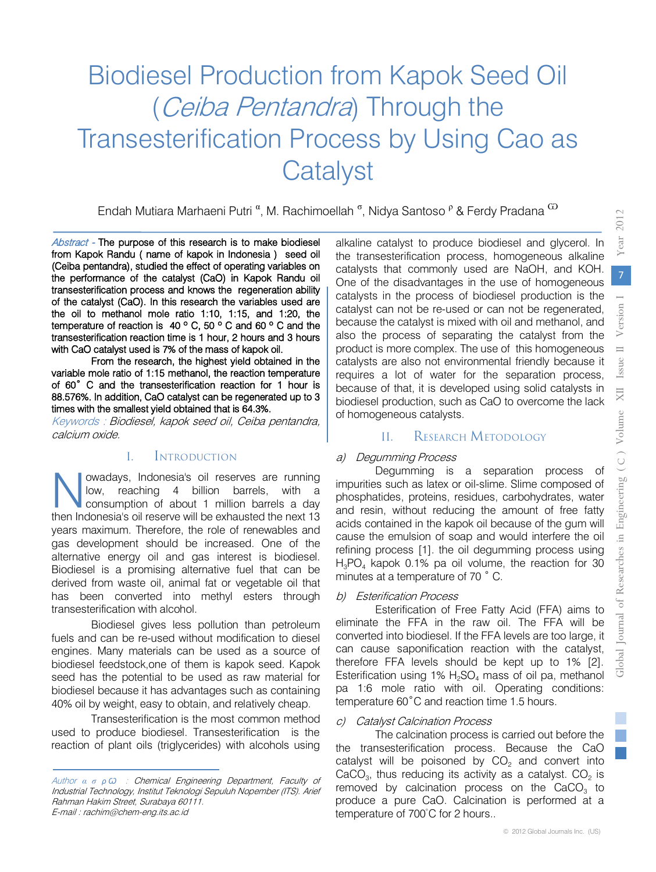# Biodiesel Production from Kapok Seed Oil (Ceiba Pentandra) Through the Transesterification Process by Using Cao as **Catalyst**

Endah Mutiara Marhaeni Putri <sup>α</sup>, M. Rachimoellah <sup>σ</sup>, Nidya Santoso <sup>ρ</sup> & Ferdy Pradana <sup>W</sup>

Abstract - The purpose of this research is to make biodiesel from Kapok Randu ( name of kapok in Indonesia ) seed oil (Ceiba pentandra), studied the effect of operating variables on the performance of the catalyst (CaO) in Kapok Randu oil transesterification process and knows the regeneration ability of the catalyst (CaO). In this research the variables used are the oil to methanol mole ratio 1:10, 1:15, and 1:20, the temperature of reaction is 40 º C, 50 º C and 60 º C and the transesterification reaction time is 1 hour, 2 hours and 3 hours with CaO catalyst used is 7% of the mass of kapok oil.

From the research, the highest yield obtained in the variable mole ratio of 1:15 methanol, the reaction temperature of 60˚ C and the transesterification reaction for 1 hour is 88.576%. In addition, CaO catalyst can be regenerated up to 3 times with the smallest yield obtained that is 64.3%.

Keywords : Biodiesel, kapok seed oil, Ceiba pentandra, calcium oxide.

#### I. INTRODUCTION

owadays, Indonesia's oil reserves are running low, reaching 4 billion barrels, with a consumption of about 1 million barrels a day wadays, Indonesia's oil reserves are running<br>low, reaching 4 billion barrels, with a<br>then Indonesia's oil reserve will be exhausted the next 13 years maximum. Therefore, the role of renewables and gas development should be increased. One of the alternative energy oil and gas interest is biodiesel. Biodiesel is a promising alternative fuel that can be derived from waste oil, animal fat or vegetable oil that has been converted into methyl esters through transesterification with alcohol.

Biodiesel gives less pollution than petroleum fuels and can be re-used without modification to diesel engines. Many materials can be used as a source of biodiesel feedstock,one of them is kapok seed. Kapok seed has the potential to be used as raw material for biodiesel because it has advantages such as containing 40% oil by weight, easy to obtain, and relatively cheap.

Transesterification is the most common method used to produce biodiesel. Transesterification is the reaction of plant oils (triglycerides) with alcohols using alkaline catalyst to produce biodiesel and glycerol. In the transesterification process, homogeneous alkaline catalysts that commonly used are NaOH, and KOH. One of the disadvantages in the use of homogeneous catalysts in the process of biodiesel production is the catalyst can not be re-used or can not be regenerated, because the catalyst is mixed with oil and methanol, and also the process of separating the catalyst from the product is more complex. The use of this homogeneous catalysts are also not environmental friendly because it requires a lot of water for the separation process, because of that, it is developed using solid catalysts in biodiesel production, such as CaO to overcome the lack of homogeneous catalysts.

# II. RESEARCH METODOLOGY

#### a) Degumming Process

Degumming is a separation process of impurities such as latex or oil-slime. Slime composed of phosphatides, proteins, residues, carbohydrates, water and resin, without reducing the amount of free fatty acids contained in the kapok oil because of the gum will cause the emulsion of soap and would interfere the oil refining process [1]. the oil degumming process using  $H_3PO_4$  kapok 0.1% pa oil volume, the reaction for 30 minutes at a temperature of 70 ˚ C.

## b) Esterification Process

Esterification of Free Fatty Acid (FFA) aims to eliminate the FFA in the raw oil. The FFA will be converted into biodiesel. If the FFA levels are too large, it can cause saponification reaction with the catalyst, therefore FFA levels should be kept up to 1% [2]. Esterification using 1%  $H_2SO_4$  mass of oil pa, methanol pa 1:6 mole ratio with oil. Operating conditions: temperature 60˚C and reaction time 1.5 hours.

## c) Catalyst Calcination Process

The calcination process is carried out before the the transesterification process. Because the CaO catalyst will be poisoned by  $CO<sub>2</sub>$  and convert into CaCO<sub>3</sub>, thus reducing its activity as a catalyst.  $CO<sub>2</sub>$  is removed by calcination process on the  $CaCO<sub>3</sub>$  to produce a pure CaO. Calcination is performed at a temperature of 700°C for 2 hours..

ear 2012 Year

2012

Author *α σ ρ Ѡ* : Chemical Engineering Department, Faculty of Industrial Technology, Institut Teknologi Sepuluh Nopember (ITS). Arief Rahman Hakim Street, Surabaya 60111. E-mail : rachim@chem-eng.its.ac.id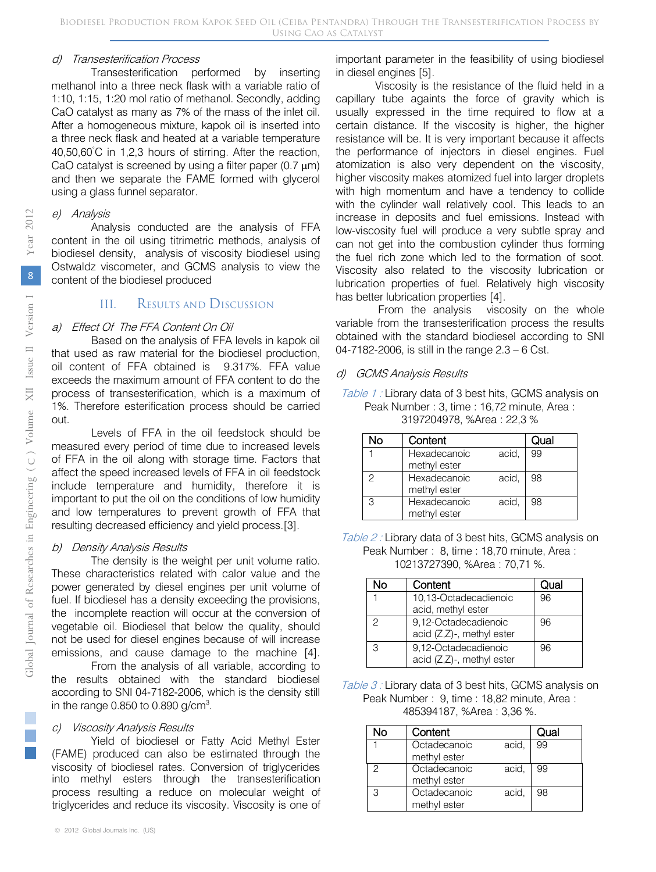#### d) Transesterification Process

Bestermeaten rocess<br>Transesterification performed by inserting methanol into a three neck flask with a variable ratio of 1:10, 1:15, 1:20 mol ratio of methanol. Secondly, adding CaO catalyst as many as 7% of the mass of the inlet oil. After a homogeneous mixture, kapok oil is inserted into a three neck flask and heated at a variable temperature 40,50,60℃ in 1,2,3 hours of stirring. After the reaction, CaO catalyst is screened by using a filter paper (0.7  $\mu$ m) and then we separate the FAME formed with glycerol using a glass funnel separator.

#### e) Analysis

Analysis conducted are the analysis of FFA content in the oil using titrimetric methods, analysis of biodiesel density, analysis of viscosity biodiesel using Ostwaldz viscometer, and GCMS analysis to view the content of the biodiesel produced

# III. RESULTS AND DISCUSSION

#### a) Effect Of The FFA Content On Oil

Based on the analysis of FFA levels in kapok oil that used as raw material for the biodiesel production, oil content of FFA obtained is 9.317%. FFA value exceeds the maximum amount of FFA content to do the process of transesterification, which is a maximum of 1%. Therefore esterification process should be carried out.

Levels of FFA in the oil feedstock should be measured every period of time due to increased levels of FFA in the oil along with storage time. Factors that affect the speed increased levels of FFA in oil feedstock include temperature and humidity, therefore it is important to put the oil on the conditions of low humidity and low temperatures to prevent growth of FFA that resulting decreased efficiency and yield process.[3].

#### b) Density Analysis Results

The density is the weight per unit volume ratio. These characteristics related with calor value and the power generated by diesel engines per unit volume of fuel. If biodiesel has a density exceeding the provisions, the incomplete reaction will occur at the conversion of vegetable oil. Biodiesel that below the quality, should not be used for diesel engines because of will increase emissions, and cause damage to the machine [4].

From the analysis of all variable, according to the results obtained with the standard biodiesel according to SNI 04-7182-2006, which is the density still in the range 0.850 to 0.890  $g/cm<sup>3</sup>$ .

#### c) Viscosity Analysis Results

Yield of biodiesel or Fatty Acid Methyl Ester (FAME) produced can also be estimated through the viscosity of biodiesel rates. Conversion of triglycerides into methyl esters through the transesterification process resulting a reduce on molecular weight of triglycerides and reduce its viscosity. Viscosity is one of

important parameter in the feasibility of using biodiesel in diesel engines [5].

Viscosity is the resistance of the fluid held in a capillary tube againts the force of gravity which is usually expressed in the time required to flow at a certain distance. If the viscosity is higher, the higher resistance will be. It is very important because it affects the performance of injectors in diesel engines. Fuel atomization is also very dependent on the viscosity, higher viscosity makes atomized fuel into larger droplets with high momentum and have a tendency to collide with the cylinder wall relatively cool. This leads to an increase in deposits and fuel emissions. Instead with low-viscosity fuel will produce a very subtle spray and can not get into the combustion cylinder thus forming the fuel rich zone which led to the formation of soot. Viscosity also related to the viscosity lubrication or lubrication properties of fuel. Relatively high viscosity has better lubrication properties [4].

From the analysis viscosity on the whole variable from the transesterification process the results obtained with the standard biodiesel according to SNI 04-7182-2006, is still in the range 2.3 – 6 Cst.

#### d) GCMS Analysis Results

Table 1 : Library data of 3 best hits, GCMS analysis on Peak Number : 3, time : 16,72 minute, Area : 3197204978, %Area : 22,3 %

| No            | Content                               | Qual |
|---------------|---------------------------------------|------|
|               | acid,<br>Hexadecanoic<br>methyl ester | 99   |
| $\mathcal{P}$ | acid,<br>Hexadecanoic<br>methyl ester | 98   |
| 3             | acid,<br>Hexadecanoic<br>methyl ester | 98   |

Table 2 : Library data of 3 best hits, GCMS analysis on Peak Number : 8, time : 18,70 minute, Area : 10213727390, %Area : 70,71 %.

| חמ            | Content                   | Qual |
|---------------|---------------------------|------|
| 1             | 10,13-Octadecadienoic     | 96   |
|               | acid, methyl ester        |      |
| $\mathcal{P}$ | 9,12-Octadecadienoic      | 96   |
|               | acid (Z,Z)-, methyl ester |      |
| 3             | 9,12-Octadecadienoic      | 96   |
|               | acid (Z,Z)-, methyl ester |      |

Table 3: Library data of 3 best hits, GCMS analysis on Peak Number : 9, time : 18,82 minute, Area : 485394187, %Area : 3,36 %.

| ง∩ | Content      |       | Qual |
|----|--------------|-------|------|
|    | Octadecanoic | acid, | 99   |
|    | methyl ester |       |      |
| 2  | Octadecanoic | acid, | 99   |
|    | methyl ester |       |      |
| З  | Octadecanoic | acid, | 98   |
|    | methyl ester |       |      |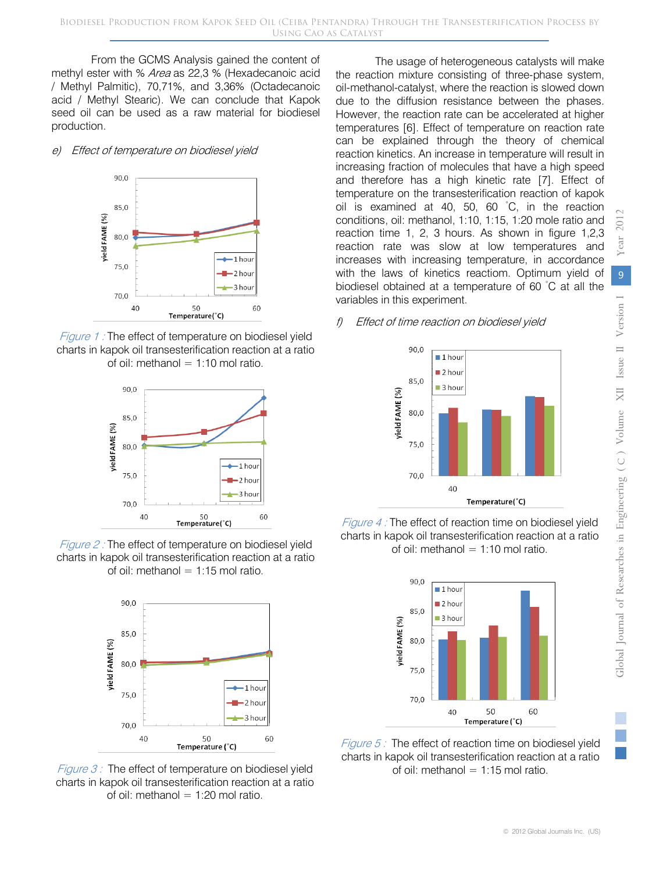From the GCMS Analysis gained the content of methyl ester with % Area as 22,3 % (Hexadecanoic acid / Methyl Palmitic), 70,71%, and 3,36% (Octadecanoic acid / Methyl Stearic). We can conclude that Kapok seed oil can be used as a raw material for biodiesel production.

#### e) Effect of temperature on biodiesel yield



Figure 1 : The effect of temperature on biodiesel yield charts in kapok oil transesterification reaction at a ratio of oil: methanol =  $1:10$  mol ratio.



Figure 2 : The effect of temperature on biodiesel yield charts in kapok oil transesterification reaction at a ratio of oil: methanol  $= 1:15$  mol ratio.



Figure  $3$  : The effect of temperature on biodiesel yield charts in kapok oil transesterification reaction at a ratio of oil: methanol  $= 1:20$  mol ratio.

The usage of heterogeneous catalysts will make the reaction mixture consisting of three-phase system, oil-methanol-catalyst, where the reaction is slowed down due to the diffusion resistance between the phases. However, the reaction rate can be accelerated at higher temperatures [6]. Effect of temperature on reaction rate can be explained through the theory of chemical reaction kinetics. An increase in temperature will result in increasing fraction of molecules that have a high speed and therefore has a high kinetic rate [7]. Effect of temperature on the transesterification reaction of kapok oil is examined at 40, 50, 60 ◦ C, in the reaction conditions, oil: methanol, 1:10, 1:15, 1:20 mole ratio and reaction time 1, 2, 3 hours. As shown in figure 1,2,3 reaction rate was slow at low temperatures and increases with increasing temperature, in accordance with the laws of kinetics reactiom. Optimum yield of biodiesel obtained at a temperature of 60 °C at all the variables in this experiment.

## f) Effect of time reaction on biodiesel yield



Figure 4 : The effect of reaction time on biodiesel yield charts in kapok oil transesterification reaction at a ratio of oil: methanol  $= 1:10$  mol ratio.



*Figure 5:* The effect of reaction time on biodiesel yield charts in kapok oil transesterification reaction at a ratio of oil: methanol =  $1:15$  mol ratio.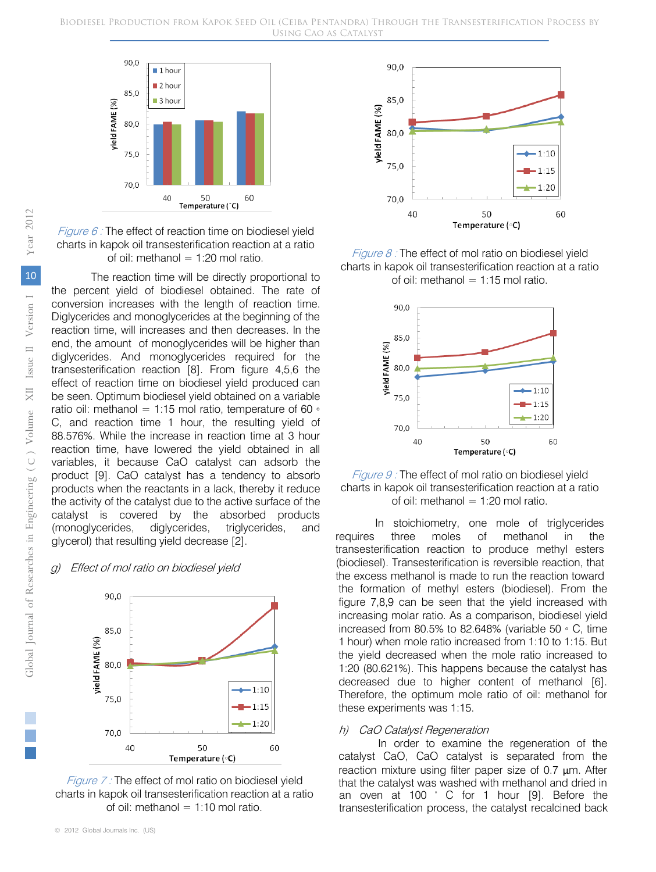

*Figure 6 :* The effect of reaction time on biodiesel yield charts in kapok oil transesterification reaction at a ratio of oil: methanol  $= 1:20$  mol ratio.

The reaction time will be directly proportional to the percent yield of biodiesel obtained. The rate of conversion increases with the length of reaction time. Diglycerides and monoglycerides at the beginning of the reaction time, will increases and then decreases. In the end, the amount of monoglycerides will be higher than diglycerides. And monoglycerides required for the transesterification reaction [8]. From figure 4,5,6 the effect of reaction time on biodiesel yield produced can be seen. Optimum biodiesel yield obtained on a variable ratio oil: methanol = 1:15 mol ratio, temperature of 60  $\circ$ C, and reaction time 1 hour, the resulting yield of 88.576%. While the increase in reaction time at 3 hour reaction time, have lowered the yield obtained in all variables, it because CaO catalyst can adsorb the product [9]. CaO catalyst has a tendency to absorb products when the reactants in a lack, thereby it reduce the activity of the catalyst due to the active surface of the catalyst is covered by the absorbed products (monoglycerides, diglycerides, triglycerides, and glycerol) that resulting yield decrease [2].

#### g) Effect of mol ratio on biodiesel yield







Figure  $8$  : The effect of mol ratio on biodiesel yield charts in kapok oil transesterification reaction at a ratio of oil: methanol  $= 1:15$  mol ratio.



Figure 9 : The effect of mol ratio on biodiesel yield charts in kapok oil transesterification reaction at a ratio of oil: methanol  $= 1:20$  mol ratio.

In stoichiometry, one mole of triglycerides requires three moles of methanol in the transesterification reaction to produce methyl esters (biodiesel). Transesterification is reversible reaction, that the excess methanol is made to run the reaction toward the formation of methyl esters (biodiesel). From the figure 7,8,9 can be seen that the yield increased with increasing molar ratio. As a comparison, biodiesel yield increased from 80.5% to 82.648% (variable 50 ◦ C, time 1 hour) when mole ratio increased from 1:10 to 1:15. But the yield decreased when the mole ratio increased to 1:20 (80.621%). This happens because the catalyst has decreased due to higher content of methanol [6]. Therefore, the optimum mole ratio of oil: methanol for these experiments was 1:15.

#### h) CaO Catalyst Regeneration

In order to examine the regeneration of the catalyst CaO, CaO catalyst is separated from the reaction mixture using filter paper size of 0.7 μm. After that the catalyst was washed with methanol and dried in an oven at 100  $^{\circ}$  C for 1 hour [9]. Before the transesterification process, the catalyst recalcined back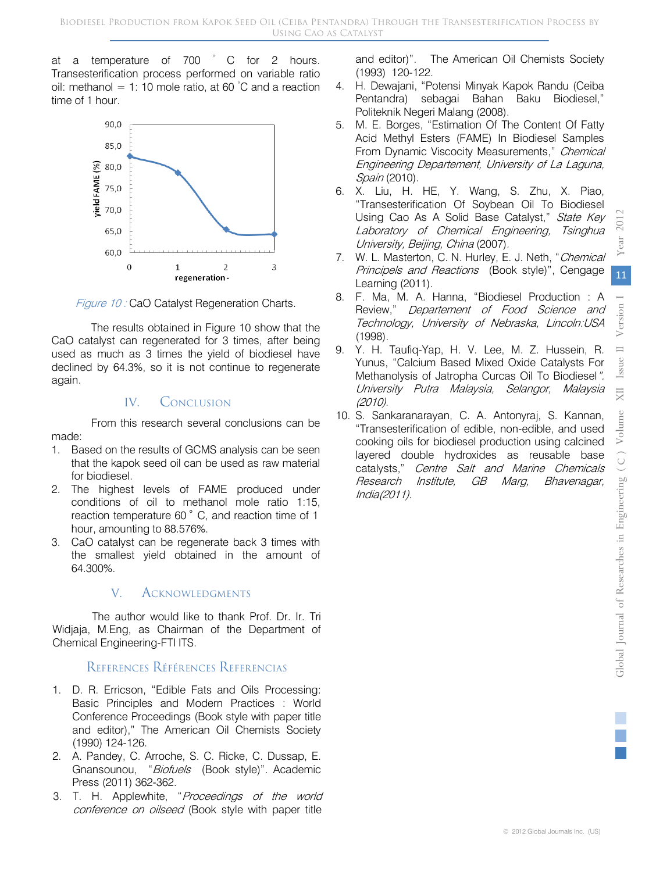at a temperature of 700 °C for 2 hours. Transesterification process performed on variable ratio oil: methanol = 1: 10 mole ratio, at 60 °C and a reaction time of 1 hour.



Figure 10 : CaO Catalyst Regeneration Charts.

The results obtained in Figure 10 show that the CaO catalyst can regenerated for 3 times, after being used as much as 3 times the yield of biodiesel have declined by 64.3%, so it is not continue to regenerate again.

# IV<sub>CONCLUSION</sub>

From this research several conclusions can be made:

- 1. Based on the results of GCMS analysis can be seen that the kapok seed oil can be used as raw material for biodiesel.
- 2. The highest levels of FAME produced under conditions of oil to methanol mole ratio 1:15, reaction temperature 60 ˚ C, and reaction time of 1 hour, amounting to 88.576%.
- 3. CaO catalyst can be regenerate back 3 times with the smallest yield obtained in the amount of 64.300%.

# V. ACKNOWLEDGMENTS

The author would like to thank Prof. Dr. Ir. Tri Widjaja, M.Eng, as Chairman of the Department of Chemical Engineering-FTI ITS.

# REFERENCES RÉFÉRENCES REFERENCIAS

- 1. D. R. Erricson, "Edible Fats and Oils Processing: Basic Principles and Modern Practices : World Conference Proceedings (Book style with paper title and editor)," The American Oil Chemists Society (1990) 124-126.
- 2. A. Pandey, C. Arroche, S. C. Ricke, C. Dussap, E. Gnansounou, "Biofuels (Book style)". Academic Press (2011) 362-362.
- 3. T. H. Applewhite, "Proceedings of the world conference on oilseed (Book style with paper title

and editor)". The American Oil Chemists Society (1993) 120-122.

- 4. H. Dewajani, "Potensi Minyak Kapok Randu (Ceiba Pentandra) sebagai Bahan Baku Biodiesel," Politeknik Negeri Malang (2008).
- 5. M. E. Borges, "Estimation Of The Content Of Fatty Acid Methyl Esters (FAME) In Biodiesel Samples From Dynamic Viscocity Measurements," Chemical Engineering Departement, University of La Laguna, Spain (2010).
- 6. X. Liu, H. HE, Y. Wang, S. Zhu, X. Piao, "Transesterification Of Soybean Oil To Biodiesel Using Cao As A Solid Base Catalyst," State Key Laboratory of Chemical Engineering, Tsinghua University, Beijing, China (2007).
- 7. W. L. Masterton, C. N. Hurley, E. J. Neth, "Chemical Principels and Reactions (Book style)", Cengage Learning (2011).
- 8. F. Ma, M. A. Hanna, "Biodiesel Production : A Review," Departement of Food Science and Technology, University of Nebraska, Lincoln:USA (1998).
- 9. Y. H. Taufiq-Yap, H. V. Lee, M. Z. Hussein, R. Yunus, "Calcium Based Mixed Oxide Catalysts For Methanolysis of Jatropha Curcas Oil To Biodiesel". University Putra Malaysia, Selangor, Malaysia (2010).
- 10. S. Sankaranarayan, C. A. Antonyraj, S. Kannan, "Transesterification of edible, non-edible, and used cooking oils for biodiesel production using calcined layered double hydroxides as reusable base catalysts," Centre Salt and Marine Chemicals Research Institute, GB Marg, Bhavenagar, India(2011).

ear 2012